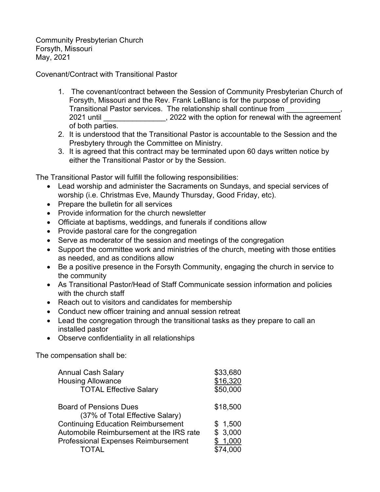Community Presbyterian Church Forsyth, Missouri May, 2021

Covenant/Contract with Transitional Pastor

- 1. The covenant/contract between the Session of Community Presbyterian Church of Forsyth, Missouri and the Rev. Frank LeBlanc is for the purpose of providing Transitional Pastor services. The relationship shall continue from \_\_\_\_\_\_\_\_\_\_\_\_\_, 2021 until \_\_\_\_\_\_\_\_\_\_\_\_\_\_\_, 2022 with the option for renewal with the agreement of both parties.
- 2. It is understood that the Transitional Pastor is accountable to the Session and the Presbytery through the Committee on Ministry.
- 3. It is agreed that this contract may be terminated upon 60 days written notice by either the Transitional Pastor or by the Session.

The Transitional Pastor will fulfill the following responsibilities:

- Lead worship and administer the Sacraments on Sundays, and special services of worship (i.e. Christmas Eve, Maundy Thursday, Good Friday, etc).
- Prepare the bulletin for all services
- Provide information for the church newsletter
- Officiate at baptisms, weddings, and funerals if conditions allow
- Provide pastoral care for the congregation
- Serve as moderator of the session and meetings of the congregation
- Support the committee work and ministries of the church, meeting with those entities as needed, and as conditions allow
- Be a positive presence in the Forsyth Community, engaging the church in service to the community
- As Transitional Pastor/Head of Staff Communicate session information and policies with the church staff
- Reach out to visitors and candidates for membership
- Conduct new officer training and annual session retreat
- Lead the congregation through the transitional tasks as they prepare to call an installed pastor
- Observe confidentiality in all relationships

The compensation shall be:

| <b>Annual Cash Salary</b><br><b>Housing Allowance</b><br><b>TOTAL Effective Salary</b> | \$33,680<br>\$16,320<br>\$50,000 |
|----------------------------------------------------------------------------------------|----------------------------------|
| <b>Board of Pensions Dues</b><br>(37% of Total Effective Salary)                       | \$18,500                         |
| <b>Continuing Education Reimbursement</b>                                              | \$1,500                          |
| Automobile Reimbursement at the IRS rate                                               | \$3,000                          |
| <b>Professional Expenses Reimbursement</b>                                             | \$1,000                          |
| TOTAI                                                                                  |                                  |